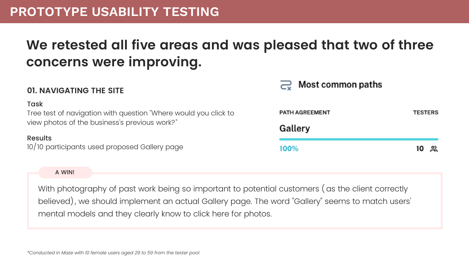## **PROTOTYPE USABILITY TESTING**

#### A WIN!

## Most common paths

**AGREEMENT** 

**TESTERS** 

lery

10 있

### **01. NAVIGATING THE SITE**

| <b>Task</b>                                                     |             |
|-----------------------------------------------------------------|-------------|
| Tree test of navigation with question "Where would you click to | <b>PATH</b> |
| view photos of the business's previous work?"                   | Gall        |
| <b>Results</b>                                                  |             |
| 10/10 participants used proposed Gallery page                   | 100%        |

With photography of past work being so important to potential customers ( as the client correctly believed) , we should implement an actual Gallery page. The word "Gallery" seems to match users' mental models and they clearly know to click here for photos.

# **We retested all five areas and was pleased that two of three concerns were improving.**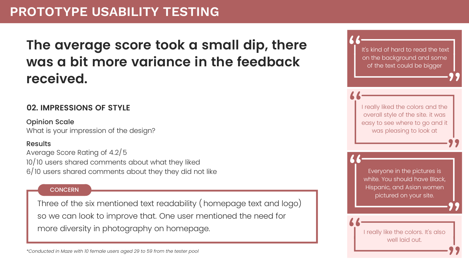### **02. IMPRESSIONS OF STYLE**

Opinion Scale What is your impression of the design?

#### Results

Average Score Rating of 4.2/5 10/10 users shared comments about what they liked 6/10 users shared comments about they they did not like

#### **CONCERN**

# **The average score took a small dip, there was a bit more variance in the feedback received.**

Three of the six mentioned text readability ( homepage text and logo) so we can look to improve that. One user mentioned the need for more diversity in photography on homepage.

I really liked the colors and the overall style of the site. it was easy to see where to go and it was pleasing to look at

Everyone in the pictures is white. You should have Black, Hispanic, and Asian women pictured on your site.

I really like the colors. It's also well laid out.

It's kind of hard to read the text on the background and some of the text could be bigger